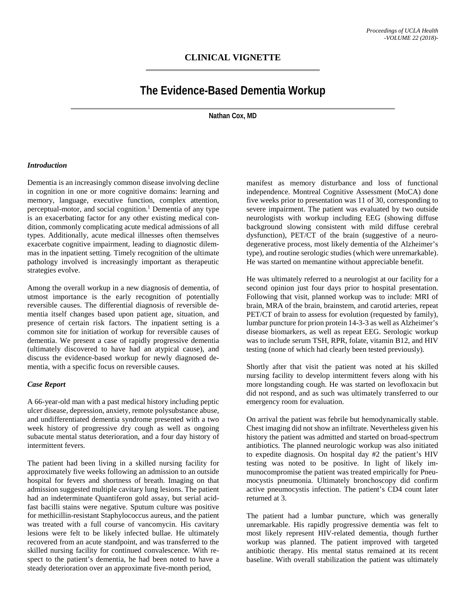# **The Evidence-Based Dementia Workup**

**Nathan Cox, MD**

#### *Introduction*

Dementia is an increasingly common disease involving decline in cognition in one or more cognitive domains: learning and memory, language, executive function, complex attention, perceptual-motor, and social cognition. <sup>1</sup> Dementia of any type is an exacerbating factor for any other existing medical condition, commonly complicating acute medical admissions of all types. Additionally, acute medical illnesses often themselves exacerbate cognitive impairment, leading to diagnostic dilemmas in the inpatient setting. Timely recognition of the ultimate pathology involved is increasingly important as therapeutic strategies evolve.

Among the overall workup in a new diagnosis of dementia, of utmost importance is the early recognition of potentially reversible causes. The differential diagnosis of reversible dementia itself changes based upon patient age, situation, and presence of certain risk factors. The inpatient setting is a common site for initiation of workup for reversible causes of dementia. We present a case of rapidly progressive dementia (ultimately discovered to have had an atypical cause), and discuss the evidence-based workup for newly diagnosed dementia, with a specific focus on reversible causes.

#### *Case Report*

A 66-year-old man with a past medical history including peptic ulcer disease, depression, anxiety, remote polysubstance abuse, and undifferentiated dementia syndrome presented with a two week history of progressive dry cough as well as ongoing subacute mental status deterioration, and a four day history of intermittent fevers.

The patient had been living in a skilled nursing facility for approximately five weeks following an admission to an outside hospital for fevers and shortness of breath. Imaging on that admission suggested multiple cavitary lung lesions. The patient had an indeterminate Quantiferon gold assay, but serial acidfast bacilli stains were negative. Sputum culture was positive for methicillin-resistant Staphylococcus aureus, and the patient was treated with a full course of vancomycin. His cavitary lesions were felt to be likely infected bullae. He ultimately recovered from an acute standpoint, and was transferred to the skilled nursing facility for continued convalescence. With respect to the patient's dementia, he had been noted to have a steady deterioration over an approximate five-month period,

manifest as memory disturbance and loss of functional independence. Montreal Cognitive Assessment (MoCA) done five weeks prior to presentation was 11 of 30, corresponding to severe impairment. The patient was evaluated by two outside neurologists with workup including EEG (showing diffuse background slowing consistent with mild diffuse cerebral dysfunction), PET/CT of the brain (suggestive of a neurodegenerative process, most likely dementia of the Alzheimer's type), and routine serologic studies (which were unremarkable). He was started on memantine without appreciable benefit.

He was ultimately referred to a neurologist at our facility for a second opinion just four days prior to hospital presentation. Following that visit, planned workup was to include: MRI of brain, MRA of the brain, brainstem, and carotid arteries, repeat PET/CT of brain to assess for evolution (requested by family), lumbar puncture for prion protein 14-3-3 as well as Alzheimer's disease biomarkers, as well as repeat EEG. Serologic workup was to include serum TSH, RPR, folate, vitamin B12, and HIV testing (none of which had clearly been tested previously).

Shortly after that visit the patient was noted at his skilled nursing facility to develop intermittent fevers along with his more longstanding cough. He was started on levofloxacin but did not respond, and as such was ultimately transferred to our emergency room for evaluation.

On arrival the patient was febrile but hemodynamically stable. Chest imaging did not show an infiltrate. Nevertheless given his history the patient was admitted and started on broad-spectrum antibiotics. The planned neurologic workup was also initiated to expedite diagnosis. On hospital day #2 the patient's HIV testing was noted to be positive. In light of likely immunocompromise the patient was treated empirically for Pneumocystis pneumonia. Ultimately bronchoscopy did confirm active pneumocystis infection. The patient's CD4 count later returned at 3.

The patient had a lumbar puncture, which was generally unremarkable. His rapidly progressive dementia was felt to most likely represent HIV-related dementia, though further workup was planned. The patient improved with targeted antibiotic therapy. His mental status remained at its recent baseline. With overall stabilization the patient was ultimately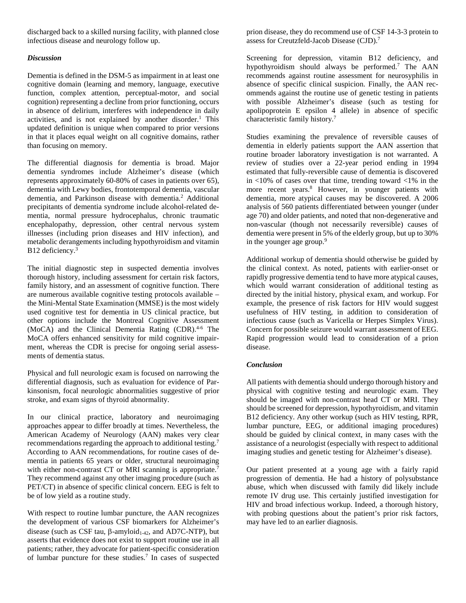discharged back to a skilled nursing facility, with planned close infectious disease and neurology follow up.

## *Discussion*

Dementia is defined in the DSM-5 as impairment in at least one cognitive domain (learning and memory, language, executive function, complex attention, perceptual-motor, and social cognition) representing a decline from prior functioning, occurs in absence of delirium, interferes with independence in daily activities, and is not explained by another disorder. <sup>1</sup> This updated definition is unique when compared to prior versions in that it places equal weight on all cognitive domains, rather than focusing on memory.

The differential diagnosis for dementia is broad. Major dementia syndromes include Alzheimer's disease (which represents approximately 60-80% of cases in patients over 65), dementia with Lewy bodies, frontotemporal dementia, vascular dementia, and Parkinson disease with dementia. <sup>2</sup> Additional precipitants of dementia syndrome include alcohol-related dementia, normal pressure hydrocephalus, chronic traumatic encephalopathy, depression, other central nervous system illnesses (including prion diseases and HIV infection), and metabolic derangements including hypothyroidism and vitamin B<sub>12</sub> deficiency.<sup>3</sup>

The initial diagnostic step in suspected dementia involves thorough history, including assessment for certain risk factors, family history, and an assessment of cognitive function. There are numerous available cognitive testing protocols available – the Mini-Mental State Examination (MMSE) is the most widely used cognitive test for dementia in US clinical practice, but other options include the Montreal Cognitive Assessment (MoCA) and the Clinical Dementia Rating (CDR).<sup>4-6</sup> The MoCA offers enhanced sensitivity for mild cognitive impairment, whereas the CDR is precise for ongoing serial assessments of dementia status.

Physical and full neurologic exam is focused on narrowing the differential diagnosis, such as evaluation for evidence of Parkinsonism, focal neurologic abnormalities suggestive of prior stroke, and exam signs of thyroid abnormality.

In our clinical practice, laboratory and neuroimaging approaches appear to differ broadly at times. Nevertheless, the American Academy of Neurology (AAN) makes very clear recommendations regarding the approach to additional testing. 7 According to AAN recommendations, for routine cases of dementia in patients 65 years or older, structural neuroimaging with either non-contrast CT or MRI scanning is appropriate.<sup>7</sup> They recommend against any other imaging procedure (such as PET/CT) in absence of specific clinical concern. EEG is felt to be of low yield as a routine study.

With respect to routine lumbar puncture, the AAN recognizes the development of various CSF biomarkers for Alzheimer's disease (such as CSF tau, β-amyloid<sub>1-42</sub>, and AD7C-NTP), but asserts that evidence does not exist to support routine use in all patients; rather, they advocate for patient-specific consideration of lumbar puncture for these studies. <sup>7</sup> In cases of suspected prion disease, they do recommend use of CSF 14-3-3 protein to assess for Creutzfeld-Jacob Disease (CJD).<sup>7</sup>

Screening for depression, vitamin B12 deficiency, and hypothyroidism should always be performed.7 The AAN recommends against routine assessment for neurosyphilis in absence of specific clinical suspicion. Finally, the AAN recommends against the routine use of genetic testing in patients with possible Alzheimer's disease (such as testing for apolipoprotein E epsilon 4 allele) in absence of specific characteristic family history. 7

Studies examining the prevalence of reversible causes of dementia in elderly patients support the AAN assertion that routine broader laboratory investigation is not warranted. A review of studies over a 22-year period ending in 1994 estimated that fully-reversible cause of dementia is discovered in  $<10\%$  of cases over that time, trending toward  $<1\%$  in the more recent years. <sup>8</sup> However, in younger patients with dementia, more atypical causes may be discovered. A 2006 analysis of 560 patients differentiated between younger (under age 70) and older patients, and noted that non-degenerative and non-vascular (though not necessarily reversible) causes of dementia were present in 5% of the elderly group, but up to 30% in the younger age group.<sup>9</sup>

Additional workup of dementia should otherwise be guided by the clinical context. As noted, patients with earlier-onset or rapidly progressive dementia tend to have more atypical causes, which would warrant consideration of additional testing as directed by the initial history, physical exam, and workup. For example, the presence of risk factors for HIV would suggest usefulness of HIV testing, in addition to consideration of infectious cause (such as Varicella or Herpes Simplex Virus). Concern for possible seizure would warrant assessment of EEG. Rapid progression would lead to consideration of a prion disease.

## *Conclusion*

All patients with dementia should undergo thorough history and physical with cognitive testing and neurologic exam. They should be imaged with non-contrast head CT or MRI. They should be screened for depression, hypothyroidism, and vitamin B12 deficiency. Any other workup (such as HIV testing, RPR, lumbar puncture, EEG, or additional imaging procedures) should be guided by clinical context, in many cases with the assistance of a neurologist (especially with respect to additional imaging studies and genetic testing for Alzheimer's disease).

Our patient presented at a young age with a fairly rapid progression of dementia. He had a history of polysubstance abuse, which when discussed with family did likely include remote IV drug use. This certainly justified investigation for HIV and broad infectious workup. Indeed, a thorough history, with probing questions about the patient's prior risk factors, may have led to an earlier diagnosis.